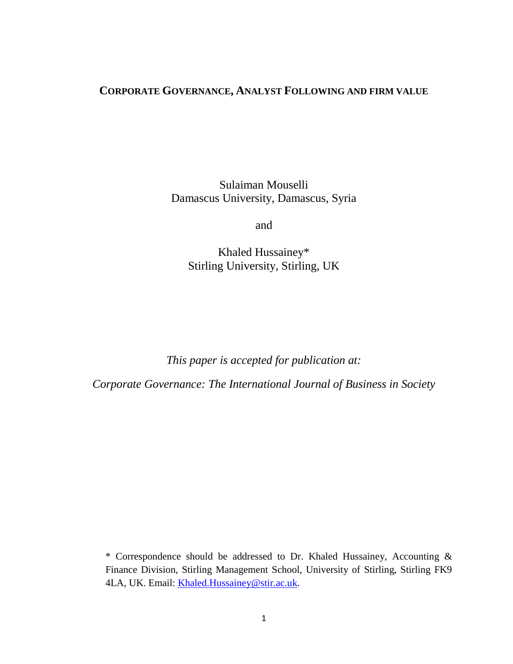# **CORPORATE GOVERNANCE, ANALYST FOLLOWING AND FIRM VALUE**

Sulaiman Mouselli Damascus University, Damascus, Syria

and

Khaled Hussainey\* Stirling University, Stirling, UK

*This paper is accepted for publication at:*

*Corporate Governance: The International Journal of Business in Society*

\* Correspondence should be addressed to Dr. Khaled Hussainey, Accounting & Finance Division, Stirling Management School, University of Stirling, Stirling FK9 4LA, UK. Email: [Khaled.Hussainey@stir.ac.uk.](mailto:martin.walker@mbs.ac.uk)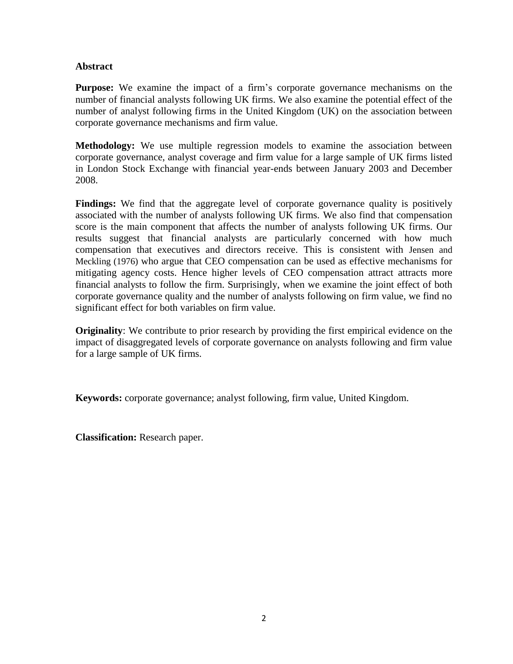# **Abstract**

**Purpose:** We examine the impact of a firm's corporate governance mechanisms on the number of financial analysts following UK firms. We also examine the potential effect of the number of analyst following firms in the United Kingdom (UK) on the association between corporate governance mechanisms and firm value.

**Methodology:** We use multiple regression models to examine the association between corporate governance, analyst coverage and firm value for a large sample of UK firms listed in London Stock Exchange with financial year-ends between January 2003 and December 2008.

**Findings:** We find that the aggregate level of corporate governance quality is positively associated with the number of analysts following UK firms. We also find that compensation score is the main component that affects the number of analysts following UK firms. Our results suggest that financial analysts are particularly concerned with how much compensation that executives and directors receive. This is consistent with Jensen and Meckling (1976) who argue that CEO compensation can be used as effective mechanisms for mitigating agency costs. Hence higher levels of CEO compensation attract attracts more financial analysts to follow the firm. Surprisingly, when we examine the joint effect of both corporate governance quality and the number of analysts following on firm value, we find no significant effect for both variables on firm value.

**Originality**: We contribute to prior research by providing the first empirical evidence on the impact of disaggregated levels of corporate governance on analysts following and firm value for a large sample of UK firms.

**Keywords:** corporate governance; analyst following, firm value, United Kingdom.

**Classification:** Research paper.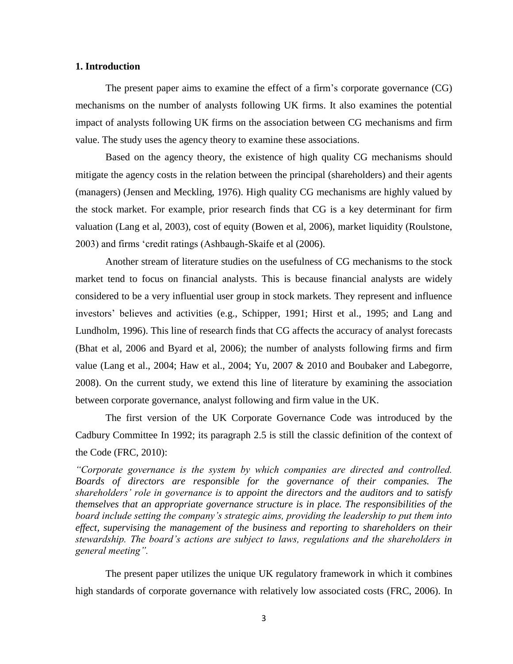# **1. Introduction**

The present paper aims to examine the effect of a firm's corporate governance (CG) mechanisms on the number of analysts following UK firms. It also examines the potential impact of analysts following UK firms on the association between CG mechanisms and firm value. The study uses the agency theory to examine these associations.

Based on the agency theory, the existence of high quality CG mechanisms should mitigate the agency costs in the relation between the principal (shareholders) and their agents (managers) (Jensen and Meckling, 1976). High quality CG mechanisms are highly valued by the stock market. For example, prior research finds that CG is a key determinant for firm valuation (Lang et al, 2003), cost of equity (Bowen et al, 2006), market liquidity (Roulstone, 2003) and firms 'credit ratings (Ashbaugh-Skaife et al (2006).

Another stream of literature studies on the usefulness of CG mechanisms to the stock market tend to focus on financial analysts. This is because financial analysts are widely considered to be a very influential user group in stock markets. They represent and influence investors' believes and activities (e.g., Schipper, 1991; Hirst et al., 1995; and Lang and Lundholm, 1996). This line of research finds that CG affects the accuracy of analyst forecasts (Bhat et al, 2006 and Byard et al, 2006); the number of analysts following firms and firm value (Lang et al., 2004; Haw et al., 2004; Yu, 2007 & 2010 and Boubaker and Labegorre, 2008). On the current study, we extend this line of literature by examining the association between corporate governance, analyst following and firm value in the UK.

The first version of the UK Corporate Governance Code was introduced by the Cadbury Committee In 1992; its paragraph 2.5 is still the classic definition of the context of the Code (FRC, 2010):

*"Corporate governance is the system by which companies are directed and controlled. Boards of directors are responsible for the governance of their companies. The shareholders' role in governance is to appoint the directors and the auditors and to satisfy themselves that an appropriate governance structure is in place. The responsibilities of the board include setting the company's strategic aims, providing the leadership to put them into effect, supervising the management of the business and reporting to shareholders on their stewardship. The board's actions are subject to laws, regulations and the shareholders in general meeting".*

The present paper utilizes the unique UK regulatory framework in which it combines high standards of corporate governance with relatively low associated costs (FRC, 2006). In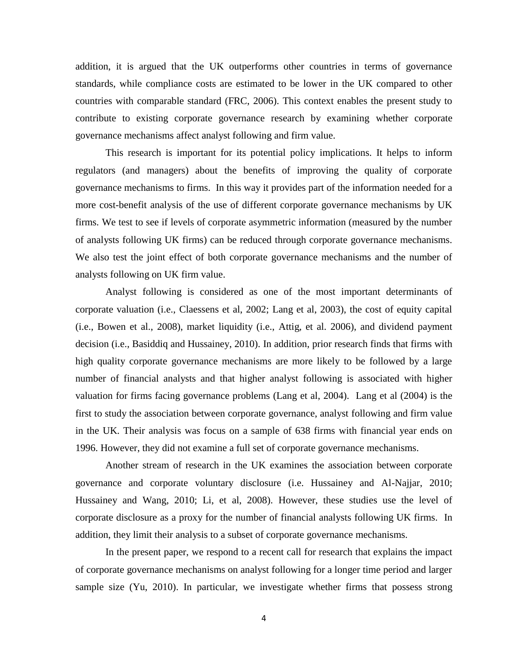addition, it is argued that the UK outperforms other countries in terms of governance standards, while compliance costs are estimated to be lower in the UK compared to other countries with comparable standard (FRC, 2006). This context enables the present study to contribute to existing corporate governance research by examining whether corporate governance mechanisms affect analyst following and firm value.

This research is important for its potential policy implications. It helps to inform regulators (and managers) about the benefits of improving the quality of corporate governance mechanisms to firms. In this way it provides part of the information needed for a more cost-benefit analysis of the use of different corporate governance mechanisms by UK firms. We test to see if levels of corporate asymmetric information (measured by the number of analysts following UK firms) can be reduced through corporate governance mechanisms. We also test the joint effect of both corporate governance mechanisms and the number of analysts following on UK firm value.

Analyst following is considered as one of the most important determinants of corporate valuation (i.e., Claessens et al, 2002; Lang et al, 2003), the cost of equity capital (i.e., Bowen et al., 2008), market liquidity (i.e., Attig, et al. 2006), and dividend payment decision (i.e., Basiddiq and Hussainey, 2010). In addition, prior research finds that firms with high quality corporate governance mechanisms are more likely to be followed by a large number of financial analysts and that higher analyst following is associated with higher valuation for firms facing governance problems (Lang et al, 2004). Lang et al (2004) is the first to study the association between corporate governance, analyst following and firm value in the UK. Their analysis was focus on a sample of 638 firms with financial year ends on 1996. However, they did not examine a full set of corporate governance mechanisms.

Another stream of research in the UK examines the association between corporate governance and corporate voluntary disclosure (i.e. Hussainey and Al-Najjar, 2010; Hussainey and Wang, 2010; Li, et al, 2008). However, these studies use the level of corporate disclosure as a proxy for the number of financial analysts following UK firms. In addition, they limit their analysis to a subset of corporate governance mechanisms.

In the present paper, we respond to a recent call for research that explains the impact of corporate governance mechanisms on analyst following for a longer time period and larger sample size (Yu, 2010). In particular, we investigate whether firms that possess strong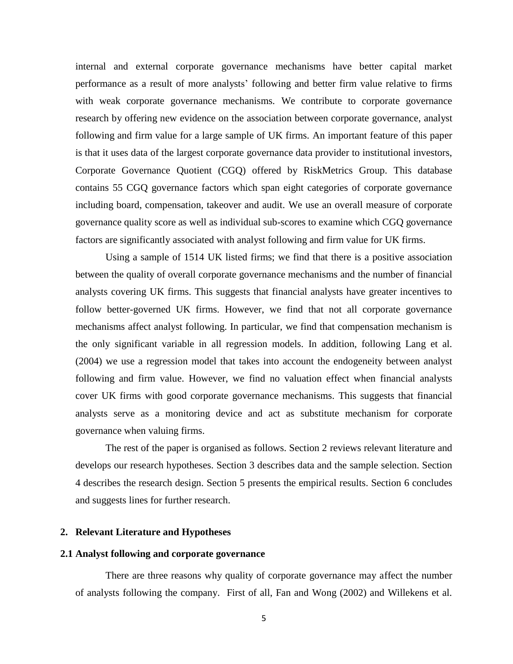internal and external corporate governance mechanisms have better capital market performance as a result of more analysts' following and better firm value relative to firms with weak corporate governance mechanisms. We contribute to corporate governance research by offering new evidence on the association between corporate governance, analyst following and firm value for a large sample of UK firms. An important feature of this paper is that it uses data of the largest corporate governance data provider to institutional investors, Corporate Governance Quotient (CGQ) offered by RiskMetrics Group. This database contains 55 CGQ governance factors which span eight categories of corporate governance including board, compensation, takeover and audit. We use an overall measure of corporate governance quality score as well as individual sub-scores to examine which CGQ governance factors are significantly associated with analyst following and firm value for UK firms.

Using a sample of 1514 UK listed firms; we find that there is a positive association between the quality of overall corporate governance mechanisms and the number of financial analysts covering UK firms. This suggests that financial analysts have greater incentives to follow better-governed UK firms. However, we find that not all corporate governance mechanisms affect analyst following. In particular, we find that compensation mechanism is the only significant variable in all regression models. In addition, following Lang et al. (2004) we use a regression model that takes into account the endogeneity between analyst following and firm value. However, we find no valuation effect when financial analysts cover UK firms with good corporate governance mechanisms. This suggests that financial analysts serve as a monitoring device and act as substitute mechanism for corporate governance when valuing firms.

The rest of the paper is organised as follows. Section 2 reviews relevant literature and develops our research hypotheses. Section 3 describes data and the sample selection. Section 4 describes the research design. Section 5 presents the empirical results. Section 6 concludes and suggests lines for further research.

# **2. Relevant Literature and Hypotheses**

#### **2.1 Analyst following and corporate governance**

There are three reasons why quality of corporate governance may affect the number of analysts following the company. First of all, Fan and Wong (2002) and Willekens et al.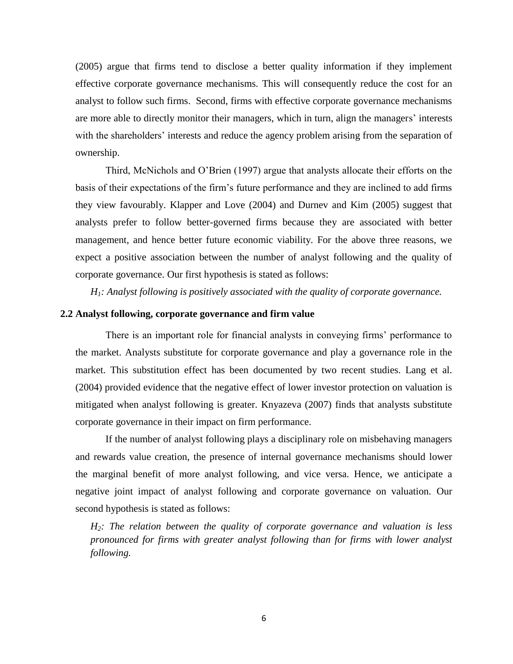(2005) argue that firms tend to disclose a better quality information if they implement effective corporate governance mechanisms. This will consequently reduce the cost for an analyst to follow such firms. Second, firms with effective corporate governance mechanisms are more able to directly monitor their managers, which in turn, align the managers' interests with the shareholders' interests and reduce the agency problem arising from the separation of ownership.

Third, McNichols and O'Brien (1997) argue that analysts allocate their efforts on the basis of their expectations of the firm's future performance and they are inclined to add firms they view favourably. Klapper and Love (2004) and Durnev and Kim (2005) suggest that analysts prefer to follow better-governed firms because they are associated with better management, and hence better future economic viability. For the above three reasons, we expect a positive association between the number of analyst following and the quality of corporate governance. Our first hypothesis is stated as follows:

*H1: Analyst following is positively associated with the quality of corporate governance.*

# **2.2 Analyst following, corporate governance and firm value**

There is an important role for financial analysts in conveying firms' performance to the market. Analysts substitute for corporate governance and play a governance role in the market. This substitution effect has been documented by two recent studies. Lang et al. (2004) provided evidence that the negative effect of lower investor protection on valuation is mitigated when analyst following is greater. Knyazeva (2007) finds that analysts substitute corporate governance in their impact on firm performance.

If the number of analyst following plays a disciplinary role on misbehaving managers and rewards value creation, the presence of internal governance mechanisms should lower the marginal benefit of more analyst following, and vice versa. Hence, we anticipate a negative joint impact of analyst following and corporate governance on valuation. Our second hypothesis is stated as follows:

*H2: The relation between the quality of corporate governance and valuation is less pronounced for firms with greater analyst following than for firms with lower analyst following.*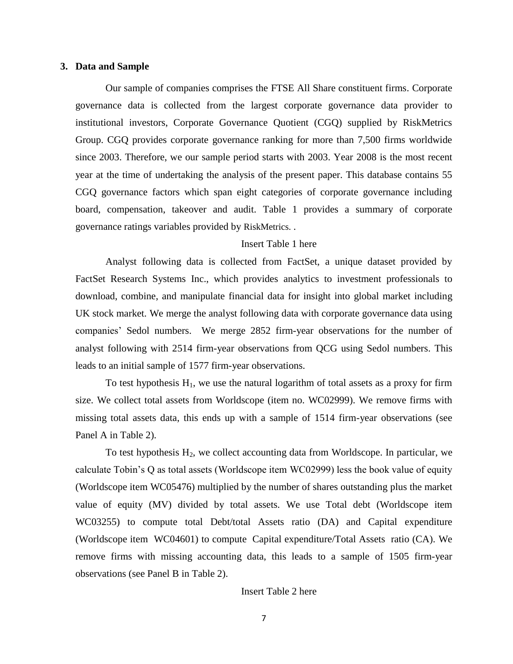#### **3. Data and Sample**

Our sample of companies comprises the FTSE All Share constituent firms. Corporate governance data is collected from the largest corporate governance data provider to institutional investors, Corporate Governance Quotient (CGQ) supplied by RiskMetrics Group. CGQ provides corporate governance ranking for more than 7,500 firms worldwide since 2003. Therefore, we our sample period starts with 2003. Year 2008 is the most recent year at the time of undertaking the analysis of the present paper. This database contains 55 CGQ governance factors which span eight categories of corporate governance including board, compensation, takeover and audit. Table 1 provides a summary of corporate governance ratings variables provided by RiskMetrics. .

# Insert Table 1 here

Analyst following data is collected from FactSet, a unique dataset provided by FactSet Research Systems Inc., which provides analytics to investment professionals to download, combine, and manipulate financial data for insight into global market including UK stock market. We merge the analyst following data with corporate governance data using companies' Sedol numbers. We merge 2852 firm-year observations for the number of analyst following with 2514 firm-year observations from QCG using Sedol numbers. This leads to an initial sample of 1577 firm-year observations.

To test hypothesis  $H_1$ , we use the natural logarithm of total assets as a proxy for firm size. We collect total assets from Worldscope (item no. WC02999). We remove firms with missing total assets data, this ends up with a sample of 1514 firm-year observations (see Panel A in Table 2).

To test hypothesis  $H_2$ , we collect accounting data from Worldscope. In particular, we calculate Tobin's Q as total assets (Worldscope item WC02999) less the book value of equity (Worldscope item WC05476) multiplied by the number of shares outstanding plus the market value of equity (MV) divided by total assets. We use Total debt (Worldscope item WC03255) to compute total Debt/total Assets ratio (DA) and Capital expenditure (Worldscope item WC04601) to compute Capital expenditure/Total Assets ratio (CA). We remove firms with missing accounting data, this leads to a sample of 1505 firm-year observations (see Panel B in Table 2).

# Insert Table 2 here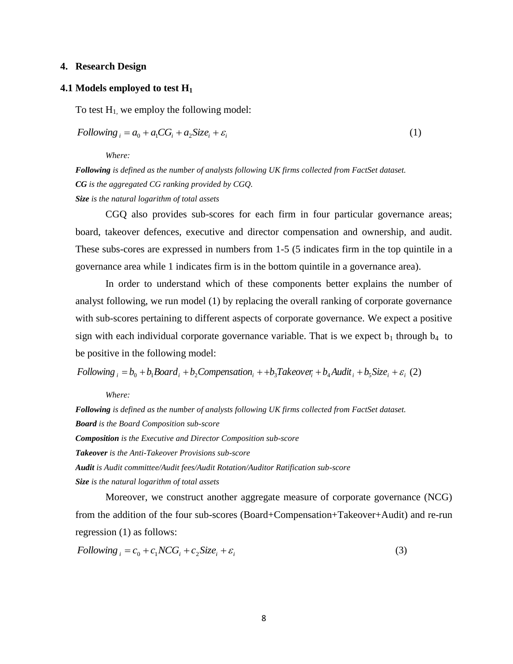# **4. Research Design**

### **4.1 Models employed to test H<sup>1</sup>**

To test  $H_1$ , we employ the following model:

$$
Following_i = a_0 + a_1 CG_i + a_2 Size_i + \varepsilon_i \tag{1}
$$

*Where:* 

*Following is defined as the number of analysts following UK firms collected from FactSet dataset. CG is the aggregated CG ranking provided by CGQ. Size is the natural logarithm of total assets* 

CGQ also provides sub-scores for each firm in four particular governance areas; board, takeover defences, executive and director compensation and ownership, and audit. These subs-cores are expressed in numbers from 1-5 (5 indicates firm in the top quintile in a governance area while 1 indicates firm is in the bottom quintile in a governance area).

In order to understand which of these components better explains the number of analyst following, we run model (1) by replacing the overall ranking of corporate governance with sub-scores pertaining to different aspects of corporate governance. We expect a positive sign with each individual corporate governance variable. That is we expect  $b_1$  through  $b_4$  to be positive in the following model:

Following  $_i = b_0 + b_1$ Board  $_i + b_2$ Compensation  $_i + b_3$ Takeover  $_i + b_4$ Audit  $_i + b_5$ Size  $_i + \varepsilon_i$  (2)

*Where:* 

*Following is defined as the number of analysts following UK firms collected from FactSet dataset. Board is the Board Composition sub-score Composition is the Executive and Director Composition sub-score Takeover is the Anti-Takeover Provisions sub-score Audit is Audit committee/Audit fees/Audit Rotation/Auditor Ratification sub-score Size is the natural logarithm of total assets* 

Moreover, we construct another aggregate measure of corporate governance (NCG) from the addition of the four sub-scores (Board+Compensation+Takeover+Audit) and re-run regression (1) as follows:

$$
Following_i = c_0 + c_1 NCG_i + c_2 Size_i + \varepsilon_i
$$
\n<sup>(3)</sup>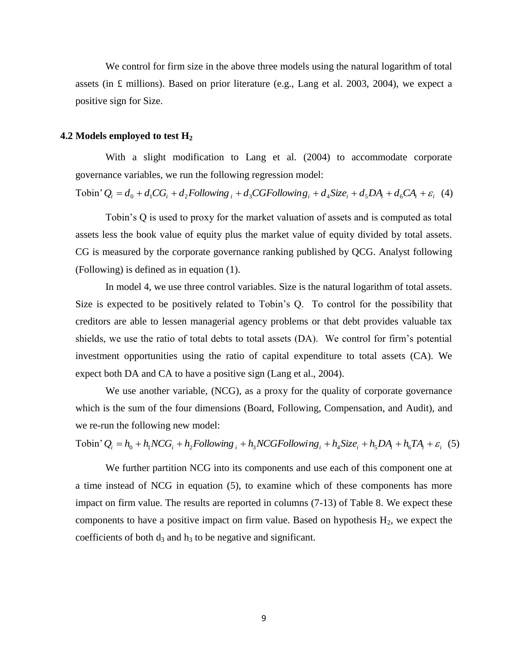We control for firm size in the above three models using the natural logarithm of total assets (in  $\pounds$  millions). Based on prior literature (e.g., Lang et al. 2003, 2004), we expect a positive sign for Size.

### **4.2 Models employed to test H<sup>2</sup>**

With a slight modification to Lang et al. (2004) to accommodate corporate governance variables, we run the following regression model:

Tobin'  $Q_i = d_0 + d_1 CG_i + d_2 Following_i + d_3 CGFollowing_i + d_4 Size_i + d_5 DA_i + d_6 CA_i + \varepsilon_i$  (4)

Tobin's Q is used to proxy for the market valuation of assets and is computed as total assets less the book value of equity plus the market value of equity divided by total assets. CG is measured by the corporate governance ranking published by QCG. Analyst following (Following) is defined as in equation (1).

In model 4, we use three control variables. Size is the natural logarithm of total assets. Size is expected to be positively related to Tobin's Q. To control for the possibility that creditors are able to lessen managerial agency problems or that debt provides valuable tax shields, we use the ratio of total debts to total assets (DA). We control for firm's potential investment opportunities using the ratio of capital expenditure to total assets (CA). We expect both DA and CA to have a positive sign (Lang et al., 2004).

We use another variable, (NCG), as a proxy for the quality of corporate governance which is the sum of the four dimensions (Board, Following, Compensation, and Audit), and we re-run the following new model:

Tobin'  $Q_i = h_0 + h_1 NCG_i + h_2 Following_i + h_3 NCGFollowing_i + h_4Size_i + h_5 DA_i + h_6 TA_i + \varepsilon_i$  (5)

We further partition NCG into its components and use each of this component one at a time instead of NCG in equation (5), to examine which of these components has more impact on firm value. The results are reported in columns (7-13) of Table 8. We expect these components to have a positive impact on firm value. Based on hypothesis  $H_2$ , we expect the coefficients of both  $d_3$  and  $h_3$  to be negative and significant.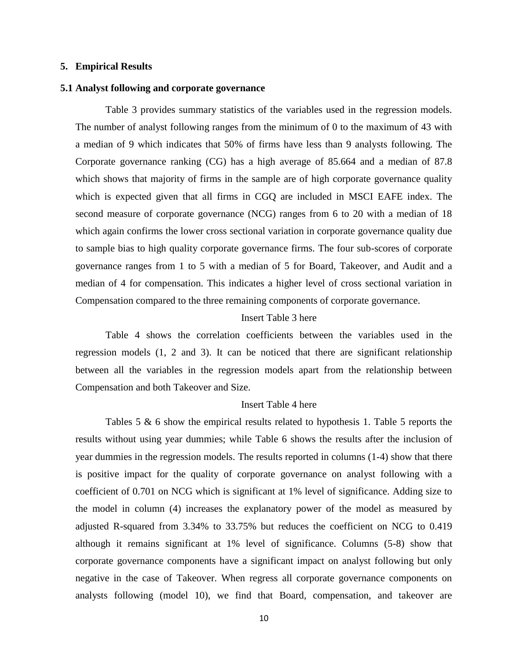#### **5. Empirical Results**

# **5.1 Analyst following and corporate governance**

Table 3 provides summary statistics of the variables used in the regression models. The number of analyst following ranges from the minimum of 0 to the maximum of 43 with a median of 9 which indicates that 50% of firms have less than 9 analysts following. The Corporate governance ranking (CG) has a high average of 85.664 and a median of 87.8 which shows that majority of firms in the sample are of high corporate governance quality which is expected given that all firms in CGQ are included in MSCI EAFE index. The second measure of corporate governance (NCG) ranges from 6 to 20 with a median of 18 which again confirms the lower cross sectional variation in corporate governance quality due to sample bias to high quality corporate governance firms. The four sub-scores of corporate governance ranges from 1 to 5 with a median of 5 for Board, Takeover, and Audit and a median of 4 for compensation. This indicates a higher level of cross sectional variation in Compensation compared to the three remaining components of corporate governance.

# Insert Table 3 here

Table 4 shows the correlation coefficients between the variables used in the regression models (1, 2 and 3). It can be noticed that there are significant relationship between all the variables in the regression models apart from the relationship between Compensation and both Takeover and Size.

#### Insert Table 4 here

Tables 5 & 6 show the empirical results related to hypothesis 1. Table 5 reports the results without using year dummies; while Table 6 shows the results after the inclusion of year dummies in the regression models. The results reported in columns (1-4) show that there is positive impact for the quality of corporate governance on analyst following with a coefficient of 0.701 on NCG which is significant at 1% level of significance. Adding size to the model in column (4) increases the explanatory power of the model as measured by adjusted R-squared from 3.34% to 33.75% but reduces the coefficient on NCG to 0.419 although it remains significant at 1% level of significance. Columns (5-8) show that corporate governance components have a significant impact on analyst following but only negative in the case of Takeover. When regress all corporate governance components on analysts following (model 10), we find that Board, compensation, and takeover are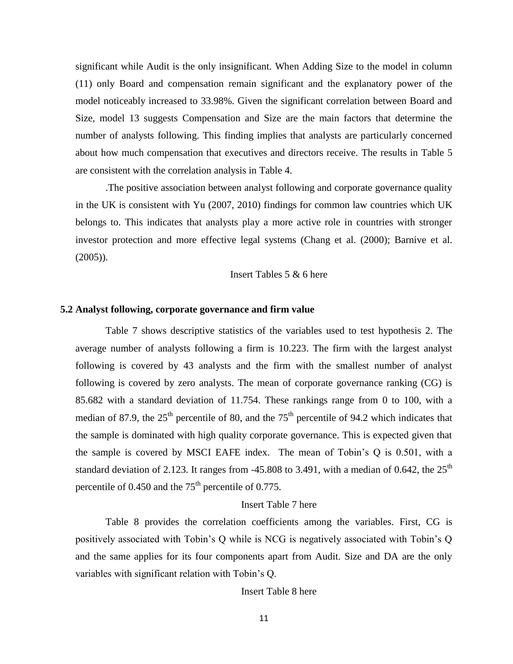significant while Audit is the only insignificant. When Adding Size to the model in column (11) only Board and compensation remain significant and the explanatory power of the model noticeably increased to 33.98%. Given the significant correlation between Board and Size, model 13 suggests Compensation and Size are the main factors that determine the number of analysts following. This finding implies that analysts are particularly concerned about how much compensation that executives and directors receive. The results in Table 5 are consistent with the correlation analysis in Table 4.

.The positive association between analyst following and corporate governance quality in the UK is consistent with Yu (2007, 2010) findings for common law countries which UK belongs to. This indicates that analysts play a more active role in countries with stronger investor protection and more effective legal systems (Chang et al. (2000); Barnive et al.  $(2005)$ ).

Insert Tables 5 & 6 here

# **5.2 Analyst following, corporate governance and firm value**

Table 7 shows descriptive statistics of the variables used to test hypothesis 2. The average number of analysts following a firm is 10.223. The firm with the largest analyst following is covered by 43 analysts and the firm with the smallest number of analyst following is covered by zero analysts. The mean of corporate governance ranking (CG) is 85.682 with a standard deviation of 11.754. These rankings range from 0 to 100, with a median of 87.9, the  $25<sup>th</sup>$  percentile of 80, and the  $75<sup>th</sup>$  percentile of 94.2 which indicates that the sample is dominated with high quality corporate governance. This is expected given that the sample is covered by MSCI EAFE index. The mean of Tobin's Q is 0.501, with a standard deviation of 2.123. It ranges from -45.808 to 3.491, with a median of 0.642, the  $25<sup>th</sup>$ percentile of  $0.450$  and the  $75<sup>th</sup>$  percentile of 0.775.

### Insert Table 7 here

Table 8 provides the correlation coefficients among the variables. First, CG is positively associated with Tobin's Q while is NCG is negatively associated with Tobin's Q and the same applies for its four components apart from Audit. Size and DA are the only variables with significant relation with Tobin's Q.

Insert Table 8 here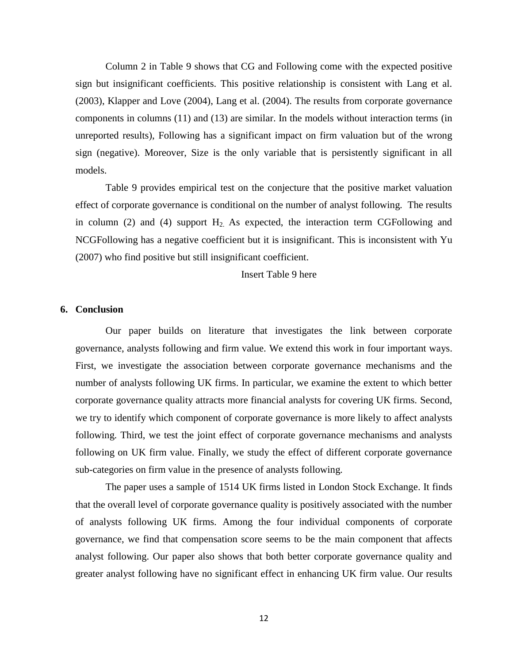Column 2 in Table 9 shows that CG and Following come with the expected positive sign but insignificant coefficients. This positive relationship is consistent with Lang et al. (2003), Klapper and Love (2004), Lang et al. (2004). The results from corporate governance components in columns (11) and (13) are similar. In the models without interaction terms (in unreported results), Following has a significant impact on firm valuation but of the wrong sign (negative). Moreover, Size is the only variable that is persistently significant in all models.

Table 9 provides empirical test on the conjecture that the positive market valuation effect of corporate governance is conditional on the number of analyst following. The results in column (2) and (4) support  $H_2$ . As expected, the interaction term CGFollowing and NCGFollowing has a negative coefficient but it is insignificant. This is inconsistent with Yu (2007) who find positive but still insignificant coefficient.

Insert Table 9 here

# **6. Conclusion**

Our paper builds on literature that investigates the link between corporate governance, analysts following and firm value. We extend this work in four important ways. First, we investigate the association between corporate governance mechanisms and the number of analysts following UK firms. In particular, we examine the extent to which better corporate governance quality attracts more financial analysts for covering UK firms. Second, we try to identify which component of corporate governance is more likely to affect analysts following. Third, we test the joint effect of corporate governance mechanisms and analysts following on UK firm value. Finally, we study the effect of different corporate governance sub-categories on firm value in the presence of analysts following.

The paper uses a sample of 1514 UK firms listed in London Stock Exchange. It finds that the overall level of corporate governance quality is positively associated with the number of analysts following UK firms. Among the four individual components of corporate governance, we find that compensation score seems to be the main component that affects analyst following. Our paper also shows that both better corporate governance quality and greater analyst following have no significant effect in enhancing UK firm value. Our results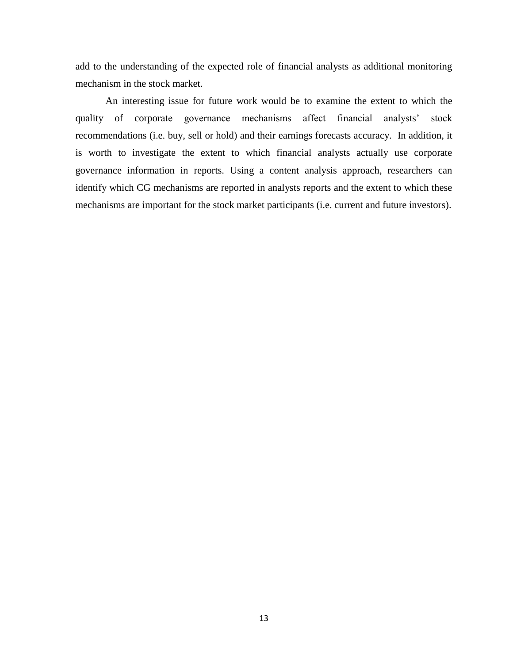add to the understanding of the expected role of financial analysts as additional monitoring mechanism in the stock market.

An interesting issue for future work would be to examine the extent to which the quality of corporate governance mechanisms affect financial analysts' stock recommendations (i.e. buy, sell or hold) and their earnings forecasts accuracy. In addition, it is worth to investigate the extent to which financial analysts actually use corporate governance information in reports. Using a content analysis approach, researchers can identify which CG mechanisms are reported in analysts reports and the extent to which these mechanisms are important for the stock market participants (i.e. current and future investors).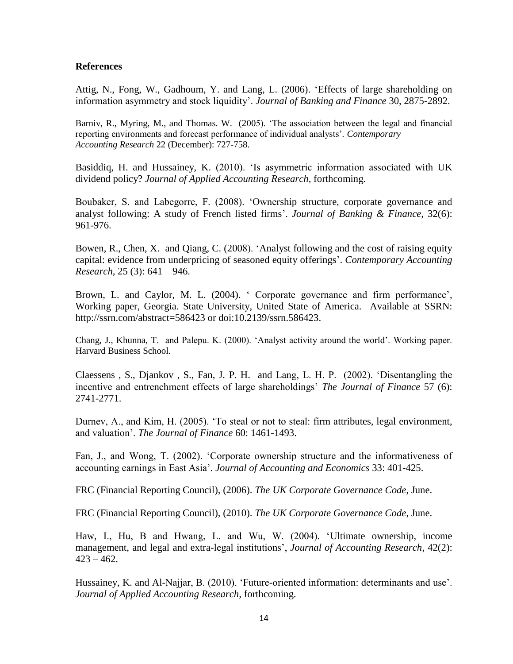# **References**

Attig, N., Fong, W., Gadhoum, Y. and Lang, L. (2006). 'Effects of large shareholding on information asymmetry and stock liquidity'. *Journal of Banking and Finance* 30, 2875-2892.

Barniv, R., Myring, M., and Thomas. W. (2005). 'The association between the legal and financial reporting environments and forecast performance of individual analysts'. *Contemporary Accounting Research* 22 (December): 727-758.

Basiddiq, H. and Hussainey, K. (2010). 'Is asymmetric information associated with UK dividend policy? *Journal of Applied Accounting Research,* forthcoming.

Boubaker, S. and Labegorre, F. (2008). 'Owne[rship structure, corporate governance and](http://www.sciencedirect.com/science?_ob=GatewayURL&_method=citationSearch&_urlVersion=4&_origin=SDTOPTWOFIVE&_version=1&_piikey=S0378426607002890&md5=06dfd404c91378ec6bb92cacece57613)  [analyst following: A study of French listed firms'](http://www.sciencedirect.com/science?_ob=GatewayURL&_method=citationSearch&_urlVersion=4&_origin=SDTOPTWOFIVE&_version=1&_piikey=S0378426607002890&md5=06dfd404c91378ec6bb92cacece57613). *Journal of Banking & Finance,* 32(6): 961-976.

Bowen, R., Chen, X. and Qiang, C. (2008). 'Analyst following and the cost of raising equity capital: evidence from underpricing of seasoned equity offerings'. *[Contemporary](http://www3.interscience.wiley.com/journal/123194409/home) Accounting [Research](http://www3.interscience.wiley.com/journal/123194409/home)*, 25 (3): 641 – 946.

Brown, L. and Caylor, M. L. (2004). ' Corporate governance and firm performance', Working paper, Georgia. State University, United State of America. Available at SSRN: http://ssrn.com/abstract=586423 or doi:10.2139/ssrn.586423.

Chang, J., Khunna, T. and Palepu. K. (2000). 'Analyst activity around the world'. Working paper. Harvard Business School.

Claessens , S., Djankov , S., Fan, J. P. H. and Lang, L. H. P. (2002). 'Disentangling the incentive and entrenchment effects of large shareholdings' *[The Journal of Finance](http://www3.interscience.wiley.com/journal/118483120/home)* [57 \(6\)](http://www3.interscience.wiley.com/journal/118942437/issue): 2741-2771.

Durnev, A., and Kim, H. (2005). 'To steal or not to steal: firm attributes, legal environment, and valuation'. *The Journal of Finance* 60: 1461-1493.

Fan, J., and Wong, T. (2002). 'Corporate ownership structure and the informativeness of accounting earnings in East Asia'. *Journal of Accounting and Economics* 33: 401-425.

FRC (Financial Reporting Council), (2006). *The UK Corporate Governance Code*, June.

FRC (Financial Reporting Council), (2010). *The UK Corporate Governance Code*, June.

Haw, I., Hu, B and Hwang, L. and Wu, W. (2004). 'Ultimate ownership, income management, and legal and extra-legal institutions', *Journal of Accounting Research*, [42\(2\)](http://www3.interscience.wiley.com/journal/118754439/issue):  $423 - 462.$ 

Hussainey, K. and Al-Najjar, B. (2010). 'Future-oriented information: determinants and use'. *Journal of Applied Accounting Research,* forthcoming.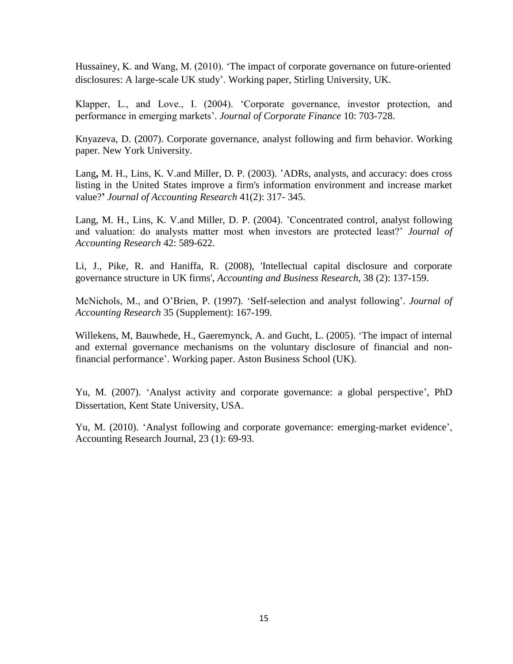Hussainey, K. and Wang, M. (2010). 'The impact of corporate governance on future-oriented disclosures: A large-scale UK study'. Working paper, Stirling University, UK.

Klapper, L., and Love., I. (2004). 'Corporate governance, investor protection, and performance in emerging markets'. *Journal of Corporate Finance* 10: 703-728.

Knyazeva, D. (2007). Corporate governance, analyst following and firm behavior. Working paper. New York University.

Lang**,** M. H., Lins, K. V.and Miller, D. P. (2003). 'ADRs, analysts, and accuracy: does cross listing in the United States improve a firm's information environment and increase market value?**'** *[Journal of Accounting Research](http://www3.interscience.wiley.com/journal/118502031/home)* [41\(2\)](http://www3.interscience.wiley.com/journal/118831358/issue): 317- 345.

Lang, M. H., Lins, K. V.and Miller, D. P. (2004). 'Concentrated control, analyst following and valuation: do analysts matter most when investors are protected least?' *Journal of Accounting Research* 42: 589-622.

Li, J., Pike, R. and Haniffa, R. (2008), 'Intellectual capital disclosure and corporate governance structure in UK firms', *Accounting and Business Research*, 38 (2): 137-159.

McNichols, M., and O'Brien, P. (1997). 'Self-selection and analyst following'. *Journal of Accounting Research* 35 (Supplement): 167-199.

Willekens, M, Bauwhede, H., Gaeremynck, A. and Gucht, L. (2005). 'The impact of internal and external governance mechanisms on the voluntary disclosure of financial and nonfinancial performance'. Working paper. Aston Business School (UK).

Yu, M. (2007). 'Analyst activity and corporate governance: a global perspective', PhD Dissertation, Kent State University, USA.

Yu, M. (2010). 'Analyst following and corporate governance: emerging-market evidence', Accounting Research Journal, 23 (1): 69-93.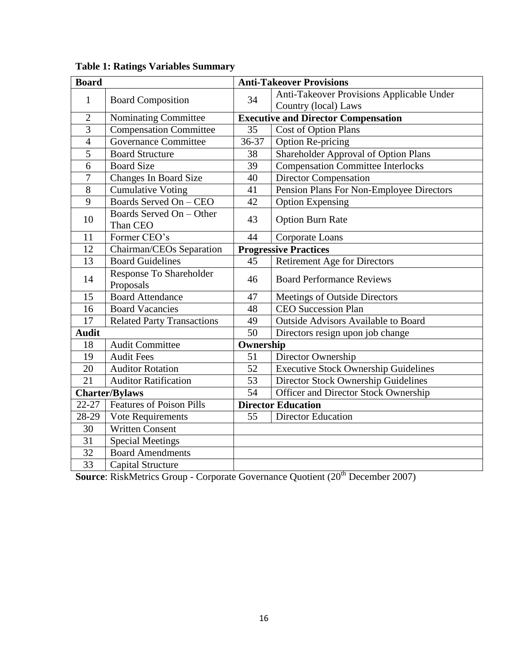| <b>Board</b>    |                                      |           | <b>Anti-Takeover Provisions</b>             |  |  |  |  |
|-----------------|--------------------------------------|-----------|---------------------------------------------|--|--|--|--|
| $\mathbf{1}$    | <b>Board Composition</b>             | 34        | Anti-Takeover Provisions Applicable Under   |  |  |  |  |
|                 |                                      |           | Country (local) Laws                        |  |  |  |  |
| $\overline{2}$  | Nominating Committee                 |           | <b>Executive and Director Compensation</b>  |  |  |  |  |
| $\overline{3}$  | <b>Compensation Committee</b>        | 35        | <b>Cost of Option Plans</b>                 |  |  |  |  |
| $\overline{4}$  | <b>Governance Committee</b>          | 36-37     | Option Re-pricing                           |  |  |  |  |
| $\overline{5}$  | <b>Board Structure</b>               | 38        | Shareholder Approval of Option Plans        |  |  |  |  |
| 6               | <b>Board Size</b>                    | 39        | <b>Compensation Committee Interlocks</b>    |  |  |  |  |
| 7               | <b>Changes In Board Size</b>         | 40        | <b>Director Compensation</b>                |  |  |  |  |
| 8               | <b>Cumulative Voting</b>             | 41        | Pension Plans For Non-Employee Directors    |  |  |  |  |
| 9               | Boards Served On - CEO               | 42        | <b>Option Expensing</b>                     |  |  |  |  |
| 10              | Boards Served On - Other<br>Than CEO | 43        | <b>Option Burn Rate</b>                     |  |  |  |  |
| 11              | Former CEO's                         | 44        | Corporate Loans                             |  |  |  |  |
| 12              | Chairman/CEOs Separation             |           | <b>Progressive Practices</b>                |  |  |  |  |
| 13              | <b>Board Guidelines</b>              | 45        | <b>Retirement Age for Directors</b>         |  |  |  |  |
| 14              | Response To Shareholder<br>Proposals | 46        | <b>Board Performance Reviews</b>            |  |  |  |  |
| 15              | <b>Board</b> Attendance              | 47        | Meetings of Outside Directors               |  |  |  |  |
| 16              | <b>Board Vacancies</b>               | 48        | <b>CEO Succession Plan</b>                  |  |  |  |  |
| 17              | <b>Related Party Transactions</b>    | 49        | <b>Outside Advisors Available to Board</b>  |  |  |  |  |
| <b>Audit</b>    |                                      | 50        | Directors resign upon job change            |  |  |  |  |
| 18              | <b>Audit Committee</b>               | Ownership |                                             |  |  |  |  |
| 19              | <b>Audit Fees</b>                    | 51        | Director Ownership                          |  |  |  |  |
| 20              | <b>Auditor Rotation</b>              | 52        | <b>Executive Stock Ownership Guidelines</b> |  |  |  |  |
| 21              | <b>Auditor Ratification</b>          | 53        | Director Stock Ownership Guidelines         |  |  |  |  |
|                 | <b>Charter/Bylaws</b>                | 54        | Officer and Director Stock Ownership        |  |  |  |  |
| 22-27           | <b>Features of Poison Pills</b>      |           | <b>Director Education</b>                   |  |  |  |  |
| 28-29           | Vote Requirements                    | 55        | <b>Director Education</b>                   |  |  |  |  |
| 30              | <b>Written Consent</b>               |           |                                             |  |  |  |  |
| 31              | <b>Special Meetings</b>              |           |                                             |  |  |  |  |
| $\overline{32}$ | <b>Board Amendments</b>              |           |                                             |  |  |  |  |
| 33              | <b>Capital Structure</b>             |           |                                             |  |  |  |  |

**Table 1: Ratings Variables Summary** 

**Source**: RiskMetrics Group - Corporate Governance Quotient (20<sup>th</sup> December 2007)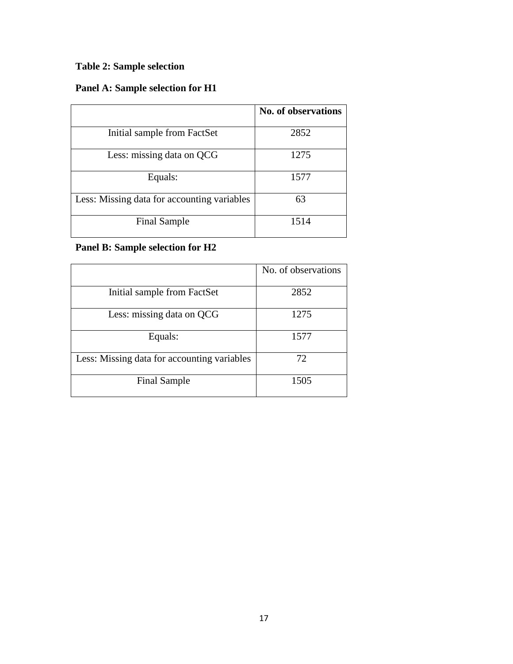# **Table 2: Sample selection**

# **Panel A: Sample selection for H1**

|                                             | No. of observations |
|---------------------------------------------|---------------------|
| Initial sample from FactSet                 | 2852                |
| Less: missing data on QCG                   | 1275                |
| Equals:                                     | 1577                |
| Less: Missing data for accounting variables | 63                  |
| <b>Final Sample</b>                         | 1514                |

# **Panel B: Sample selection for H2**

|                                             | No. of observations |
|---------------------------------------------|---------------------|
|                                             |                     |
| Initial sample from FactSet                 | 2852                |
|                                             |                     |
| Less: missing data on QCG                   | 1275                |
|                                             |                     |
| Equals:                                     | 1577                |
| Less: Missing data for accounting variables | 72                  |
|                                             |                     |
| <b>Final Sample</b>                         | 1505                |
|                                             |                     |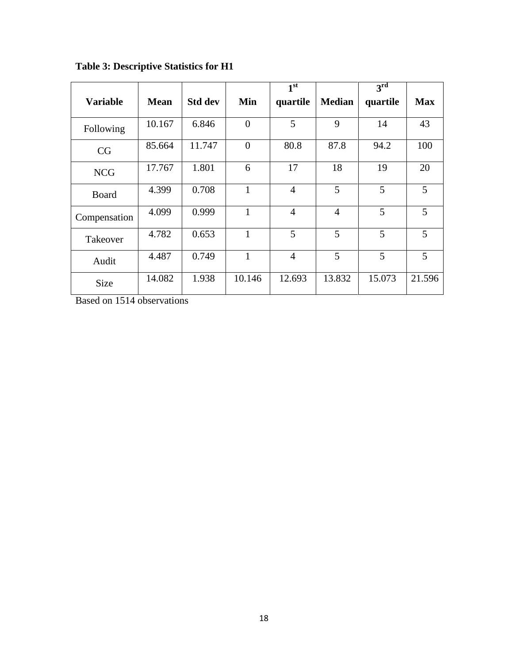|                 |             |                |              | 1 <sup>st</sup> |                | $3^{\rm rd}$ |            |
|-----------------|-------------|----------------|--------------|-----------------|----------------|--------------|------------|
| <b>Variable</b> | <b>Mean</b> | <b>Std dev</b> | Min          | quartile        | <b>Median</b>  | quartile     | <b>Max</b> |
| Following       | 10.167      | 6.846          | $\theta$     | 5               | 9              | 14           | 43         |
| CG              | 85.664      | 11.747         | $\theta$     | 80.8            | 87.8           | 94.2         | 100        |
| <b>NCG</b>      | 17.767      | 1.801          | 6            | 17              | 18             | 19           | 20         |
| Board           | 4.399       | 0.708          | 1            | $\overline{4}$  | 5              | 5            | 5          |
| Compensation    | 4.099       | 0.999          | $\mathbf{1}$ | $\overline{4}$  | $\overline{4}$ | 5            | 5          |
| Takeover        | 4.782       | 0.653          | 1            | 5               | 5              | 5            | 5          |
| Audit           | 4.487       | 0.749          | 1            | $\overline{4}$  | 5              | 5            | 5          |
| <b>Size</b>     | 14.082      | 1.938          | 10.146       | 12.693          | 13.832         | 15.073       | 21.596     |

**Table 3: Descriptive Statistics for H1**

Based on 1514 observations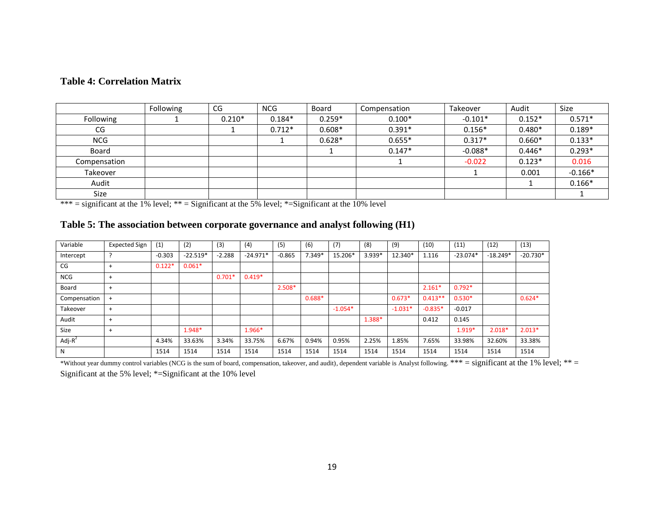# **Table 4: Correlation Matrix**

|              | Following | CG       | <b>NCG</b> | Board    | Compensation | Takeover  | Audit    | <b>Size</b> |
|--------------|-----------|----------|------------|----------|--------------|-----------|----------|-------------|
| Following    |           | $0.210*$ | $0.184*$   | $0.259*$ | $0.100*$     | $-0.101*$ | $0.152*$ | $0.571*$    |
| CG           |           |          | $0.712*$   | $0.608*$ | $0.391*$     | $0.156*$  | $0.480*$ | $0.189*$    |
| <b>NCG</b>   |           |          |            | $0.628*$ | $0.655*$     | $0.317*$  | $0.660*$ | $0.133*$    |
| <b>Board</b> |           |          |            |          | $0.147*$     | $-0.088*$ | $0.446*$ | $0.293*$    |
| Compensation |           |          |            |          |              | $-0.022$  | $0.123*$ | 0.016       |
| Takeover     |           |          |            |          |              |           | 0.001    | $-0.166*$   |
| Audit        |           |          |            |          |              |           |          | $0.166*$    |
| Size         |           |          |            |          |              |           |          |             |

\*\*\* = significant at the 1% level; \*\* = Significant at the 5% level; \*= Significant at the 10% level

| Table 5: The association between corporate governance and analyst following (H1) |  |
|----------------------------------------------------------------------------------|--|
|----------------------------------------------------------------------------------|--|

| Variable     | <b>Expected Sign</b> | (1)      | (2)        | (3)      | (4)        | (5)      | (6)      | (7)       | (8)    | (9)       | (10)      | (11)       | (12)       | (13)       |
|--------------|----------------------|----------|------------|----------|------------|----------|----------|-----------|--------|-----------|-----------|------------|------------|------------|
| Intercept    |                      | $-0.303$ | $-22.519*$ | $-2.288$ | $-24.971*$ | $-0.865$ | $7.349*$ | 15.206*   | 3.939* | 12.340*   | 1.116     | $-23.074*$ | $-18.249*$ | $-20.730*$ |
| CG           | $+$                  | $0.122*$ | $0.061*$   |          |            |          |          |           |        |           |           |            |            |            |
| <b>NCG</b>   | $+$                  |          |            | $0.701*$ | $0.419*$   |          |          |           |        |           |           |            |            |            |
| Board        | $\ddot{}$            |          |            |          |            | $2.508*$ |          |           |        |           | $2.161*$  | $0.792*$   |            |            |
| Compensation | $\ddot{}$            |          |            |          |            |          | $0.688*$ |           |        | $0.673*$  | $0.413**$ | $0.530*$   |            | $0.624*$   |
| Takeover     | $\ddot{}$            |          |            |          |            |          |          | $-1.054*$ |        | $-1.031*$ | $-0.835*$ | $-0.017$   |            |            |
| Audit        | $\ddot{}$            |          |            |          |            |          |          |           | 1.388* |           | 0.412     | 0.145      |            |            |
| Size         | $\ddot{}$            |          | 1.948*     |          | 1.966*     |          |          |           |        |           |           | $1.919*$   | $2.018*$   | $2.013*$   |
| Adj- $R^2$   |                      | 4.34%    | 33.63%     | 3.34%    | 33.75%     | 6.67%    | 0.94%    | 0.95%     | 2.25%  | 1.85%     | 7.65%     | 33.98%     | 32.60%     | 33.38%     |
| N            |                      | 1514     | 1514       | 1514     | 1514       | 1514     | 1514     | 1514      | 1514   | 1514      | 1514      | 1514       | 1514       | 1514       |

\*Without year dummy control variables (NCG is the sum of board, compensation, takeover, and audit), dependent variable is Analyst following. \*\*\* = significant at the 1% level; \*\* = Significant at the 5% level; \*=Significant at the 10% level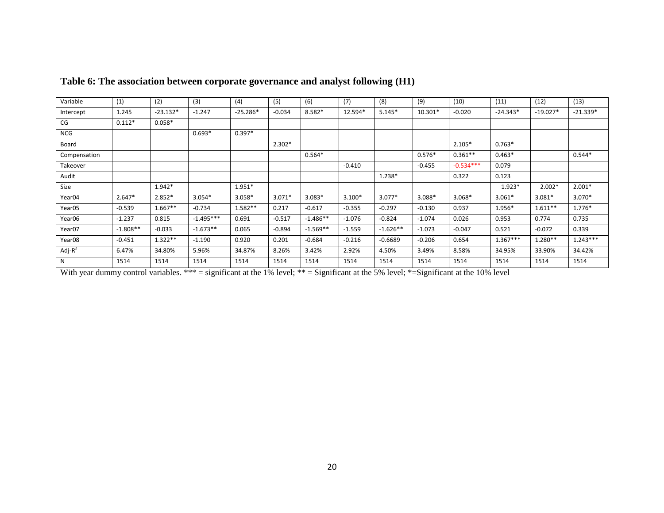| Variable           | (1)        | (2)        | (3)         | (4)        | (5)      | (6)        | (7)      | (8)        | (9)      | (10)        | (11)       | (12)       | (13)       |
|--------------------|------------|------------|-------------|------------|----------|------------|----------|------------|----------|-------------|------------|------------|------------|
| Intercept          | 1.245      | $-23.132*$ | $-1.247$    | $-25.286*$ | $-0.034$ | 8.582*     | 12.594*  | $5.145*$   | 10.301*  | $-0.020$    | $-24.343*$ | $-19.027*$ | $-21.339*$ |
| CG                 | $0.112*$   | $0.058*$   |             |            |          |            |          |            |          |             |            |            |            |
| <b>NCG</b>         |            |            | $0.693*$    | $0.397*$   |          |            |          |            |          |             |            |            |            |
| Board              |            |            |             |            | $2.302*$ |            |          |            |          | $2.105*$    | $0.763*$   |            |            |
| Compensation       |            |            |             |            |          | $0.564*$   |          |            | $0.576*$ | $0.361**$   | $0.463*$   |            | $0.544*$   |
| Takeover           |            |            |             |            |          |            | $-0.410$ |            | $-0.455$ | $-0.534***$ | 0.079      |            |            |
| Audit              |            |            |             |            |          |            |          | 1.238*     |          | 0.322       | 0.123      |            |            |
| Size               |            | $1.942*$   |             | 1.951*     |          |            |          |            |          |             | $1.923*$   | $2.002*$   | $2.001*$   |
| Year04             | $2.647*$   | $2.852*$   | $3.054*$    | $3.058*$   | $3.071*$ | $3.083*$   | $3.100*$ | $3.077*$   | 3.088*   | $3.068*$    | $3.061*$   | $3.081*$   | $3.070*$   |
| Year05             | $-0.539$   | $1.667**$  | $-0.734$    | $1.582**$  | 0.217    | $-0.617$   | $-0.355$ | $-0.297$   | $-0.130$ | 0.937       | 1.956*     | $1.611**$  | 1.776*     |
| Year06             | $-1.237$   | 0.815      | $-1.495***$ | 0.691      | $-0.517$ | $-1.486**$ | $-1.076$ | $-0.824$   | $-1.074$ | 0.026       | 0.953      | 0.774      | 0.735      |
| Year07             | $-1.808**$ | $-0.033$   | $-1.673**$  | 0.065      | $-0.894$ | $-1.569**$ | $-1.559$ | $-1.626**$ | $-1.073$ | $-0.047$    | 0.521      | $-0.072$   | 0.339      |
| Year <sub>08</sub> | $-0.451$   | $1.322**$  | $-1.190$    | 0.920      | 0.201    | $-0.684$   | $-0.216$ | $-0.6689$  | $-0.206$ | 0.654       | $1.367***$ | $1.280**$  | $1.243***$ |
| Adj- $R^2$         | 6.47%      | 34.80%     | 5.96%       | 34.87%     | 8.26%    | 3.42%      | 2.92%    | 4.50%      | 3.49%    | 8.58%       | 34.95%     | 33.90%     | 34.42%     |
| N                  | 1514       | 1514       | 1514        | 1514       | 1514     | 1514       | 1514     | 1514       | 1514     | 1514        | 1514       | 1514       | 1514       |

# **Table 6: The association between corporate governance and analyst following (H1)**

With year dummy control variables. \*\*\* = significant at the 1% level; \*\* = Significant at the 5% level; \*= Significant at the 10% level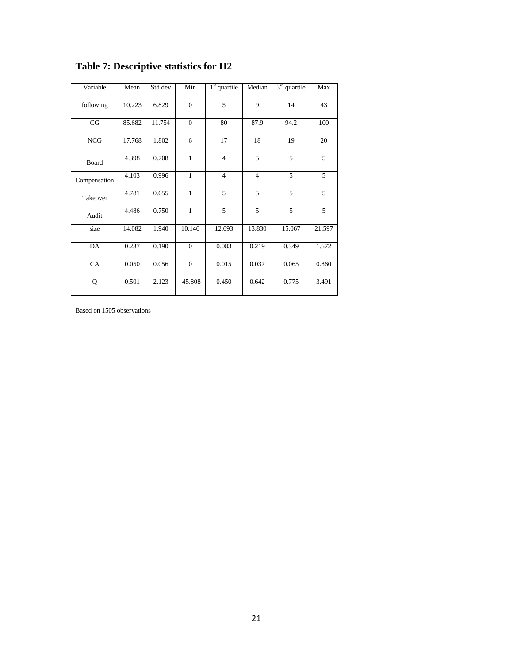| Variable     | Mean   | Std dev | Min            | $1st$ quartile | Median         | $3rd$ quartile | Max    |
|--------------|--------|---------|----------------|----------------|----------------|----------------|--------|
| following    | 10.223 | 6.829   | $\theta$       | 5              | 9              | 14             | 43     |
| CG           | 85.682 | 11.754  | $\overline{0}$ | 80             | 87.9           | 94.2           | 100    |
| <b>NCG</b>   | 17.768 | 1.802   | 6              | 17             | 18             | 19             | 20     |
| Board        | 4.398  | 0.708   | $\mathbf{1}$   | $\overline{4}$ | 5              | 5              | 5      |
| Compensation | 4.103  | 0.996   | $\mathbf{1}$   | $\overline{4}$ | $\overline{4}$ | 5              | 5      |
| Takeover     | 4.781  | 0.655   | $\mathbf{1}$   | 5              | 5              | 5              | 5      |
| Audit        | 4.486  | 0.750   | $\mathbf{1}$   | 5              | 5              | 5              | 5      |
| size         | 14.082 | 1.940   | 10.146         | 12.693         | 13.830         | 15.067         | 21.597 |
| DA           | 0.237  | 0.190   | $\mathbf{0}$   | 0.083          | 0.219          | 0.349          | 1.672  |
| CA           | 0.050  | 0.056   | $\overline{0}$ | 0.015          | 0.037          | 0.065          | 0.860  |
| Q            | 0.501  | 2.123   | $-45.808$      | 0.450          | 0.642          | 0.775          | 3.491  |

# **Table 7: Descriptive statistics for H2**

Based on 1505 observations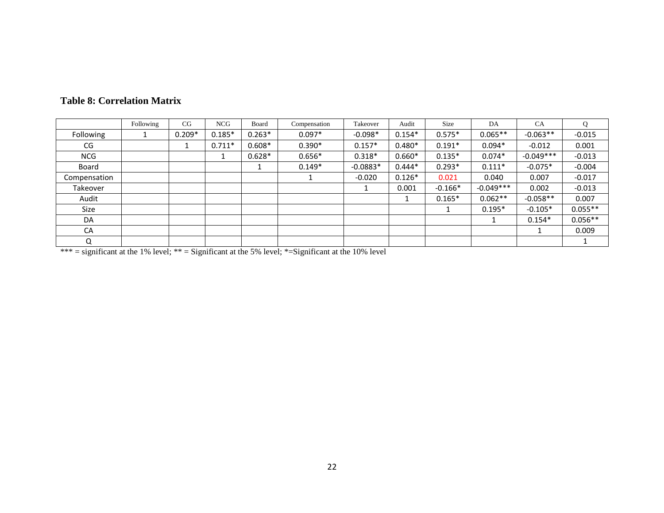|              | Following | CG       | <b>NCG</b> | Board    | Compensation | Takeover   | Audit    | Size      | DA          | <b>CA</b>   | Q         |
|--------------|-----------|----------|------------|----------|--------------|------------|----------|-----------|-------------|-------------|-----------|
| Following    |           | $0.209*$ | $0.185*$   | $0.263*$ | $0.097*$     | $-0.098*$  | $0.154*$ | $0.575*$  | $0.065**$   | $-0.063**$  | $-0.015$  |
| CG           |           |          | $0.711*$   | $0.608*$ | $0.390*$     | $0.157*$   | $0.480*$ | $0.191*$  | $0.094*$    | $-0.012$    | 0.001     |
| <b>NCG</b>   |           |          | 1          | $0.628*$ | $0.656*$     | $0.318*$   | $0.660*$ | $0.135*$  | $0.074*$    | $-0.049***$ | $-0.013$  |
| Board        |           |          |            |          | $0.149*$     | $-0.0883*$ | $0.444*$ | $0.293*$  | $0.111*$    | $-0.075*$   | $-0.004$  |
| Compensation |           |          |            |          |              | $-0.020$   | $0.126*$ | 0.021     | 0.040       | 0.007       | $-0.017$  |
| Takeover     |           |          |            |          |              |            | 0.001    | $-0.166*$ | $-0.049***$ | 0.002       | $-0.013$  |
| Audit        |           |          |            |          |              |            |          | $0.165*$  | $0.062**$   | $-0.058**$  | 0.007     |
| Size         |           |          |            |          |              |            |          |           | $0.195*$    | $-0.105*$   | $0.055**$ |
| DA           |           |          |            |          |              |            |          |           |             | $0.154*$    | $0.056**$ |
| CA           |           |          |            |          |              |            |          |           |             |             | 0.009     |
| Q            |           |          |            |          |              |            |          |           |             |             |           |

# **Table 8: Correlation Matrix**

\*\*\* = significant at the 1% level; \*\* = Significant at the 5% level; \*= Significant at the 10% level